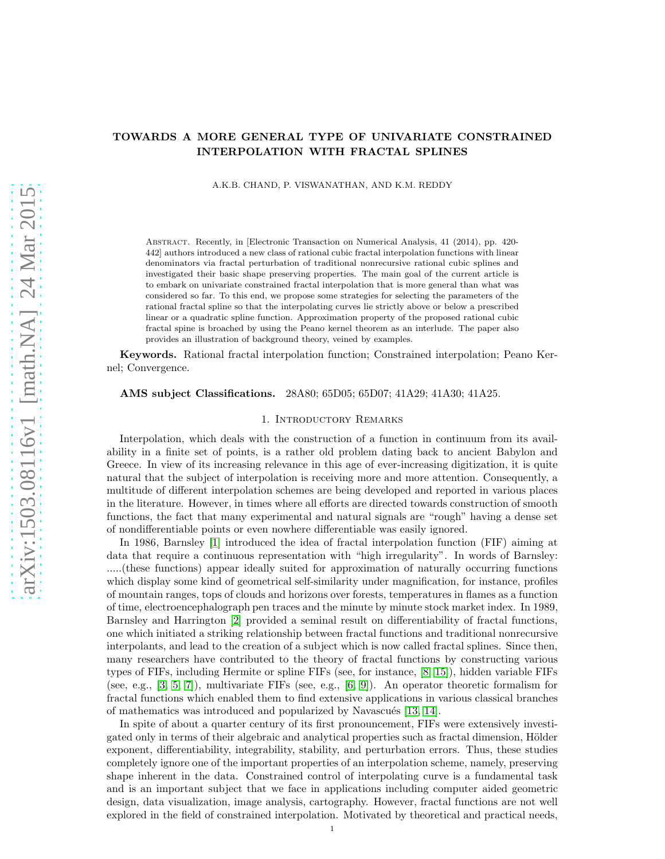# arXiv:1503.08116v1 [math.NA] 24 Mar 2015 [arXiv:1503.08116v1 \[math.NA\] 24 Mar 2015](http://arxiv.org/abs/1503.08116v1)

# TOWARDS A MORE GENERAL TYPE OF UNIVARIATE CONSTRAINED INTERPOLATION WITH FRACTAL SPLINES

A.K.B. CHAND, P. VISWANATHAN, AND K.M. REDDY

Abstract. Recently, in [Electronic Transaction on Numerical Analysis, 41 (2014), pp. 420- 442] authors introduced a new class of rational cubic fractal interpolation functions with linear denominators via fractal perturbation of traditional nonrecursive rational cubic splines and investigated their basic shape preserving properties. The main goal of the current article is to embark on univariate constrained fractal interpolation that is more general than what was considered so far. To this end, we propose some strategies for selecting the parameters of the rational fractal spline so that the interpolating curves lie strictly above or below a prescribed linear or a quadratic spline function. Approximation property of the proposed rational cubic fractal spine is broached by using the Peano kernel theorem as an interlude. The paper also provides an illustration of background theory, veined by examples.

Keywords. Rational fractal interpolation function; Constrained interpolation; Peano Kernel; Convergence.

# AMS subject Classifications. 28A80; 65D05; 65D07; 41A29; 41A30; 41A25.

### 1. Introductory Remarks

Interpolation, which deals with the construction of a function in continuum from its availability in a finite set of points, is a rather old problem dating back to ancient Babylon and Greece. In view of its increasing relevance in this age of ever-increasing digitization, it is quite natural that the subject of interpolation is receiving more and more attention. Consequently, a multitude of different interpolation schemes are being developed and reported in various places in the literature. However, in times where all efforts are directed towards construction of smooth functions, the fact that many experimental and natural signals are "rough" having a dense set of nondifferentiable points or even nowhere differentiable was easily ignored.

In 1986, Barnsley [\[1\]](#page-10-0) introduced the idea of fractal interpolation function (FIF) aiming at data that require a continuous representation with "high irregularity". In words of Barnsley: .....(these functions) appear ideally suited for approximation of naturally occurring functions which display some kind of geometrical self-similarity under magnification, for instance, profiles of mountain ranges, tops of clouds and horizons over forests, temperatures in flames as a function of time, electroencephalograph pen traces and the minute by minute stock market index. In 1989, Barnsley and Harrington [\[2\]](#page-10-1) provided a seminal result on differentiability of fractal functions, one which initiated a striking relationship between fractal functions and traditional nonrecursive interpolants, and lead to the creation of a subject which is now called fractal splines. Since then, many researchers have contributed to the theory of fractal functions by constructing various types of FIFs, including Hermite or spline FIFs (see, for instance, [\[8,](#page-10-2) [15\]](#page-10-3)), hidden variable FIFs (see, e.g., [\[3,](#page-10-4) [5,](#page-10-5) [7\]](#page-10-6)), multivariate FIFs (see, e.g., [\[6,](#page-10-7) [9\]](#page-10-8)). An operator theoretic formalism for fractal functions which enabled them to find extensive applications in various classical branches of mathematics was introduced and popularized by Navascués [\[13,](#page-10-9) [14\]](#page-10-10).

In spite of about a quarter century of its first pronouncement, FIFs were extensively investigated only in terms of their algebraic and analytical properties such as fractal dimension, Hölder exponent, differentiability, integrability, stability, and perturbation errors. Thus, these studies completely ignore one of the important properties of an interpolation scheme, namely, preserving shape inherent in the data. Constrained control of interpolating curve is a fundamental task and is an important subject that we face in applications including computer aided geometric design, data visualization, image analysis, cartography. However, fractal functions are not well explored in the field of constrained interpolation. Motivated by theoretical and practical needs,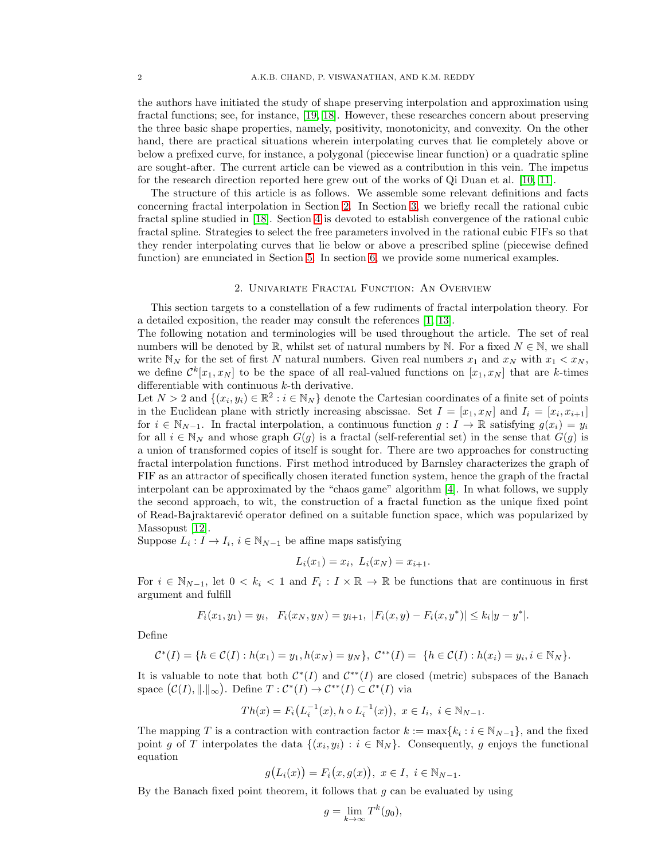the authors have initiated the study of shape preserving interpolation and approximation using fractal functions; see, for instance, [\[19,](#page-10-11) [18\]](#page-10-12). However, these researches concern about preserving the three basic shape properties, namely, positivity, monotonicity, and convexity. On the other hand, there are practical situations wherein interpolating curves that lie completely above or below a prefixed curve, for instance, a polygonal (piecewise linear function) or a quadratic spline are sought-after. The current article can be viewed as a contribution in this vein. The impetus for the research direction reported here grew out of the works of Qi Duan et al. [\[10,](#page-10-13) [11\]](#page-10-14).

The structure of this article is as follows. We assemble some relevant definitions and facts concerning fractal interpolation in Section [2.](#page-1-0) In Section [3,](#page-2-0) we briefly recall the rational cubic fractal spline studied in [\[18\]](#page-10-12). Section [4](#page-3-0) is devoted to establish convergence of the rational cubic fractal spline. Strategies to select the free parameters involved in the rational cubic FIFs so that they render interpolating curves that lie below or above a prescribed spline (piecewise defined function) are enunciated in Section [5.](#page-5-0) In section [6,](#page-8-0) we provide some numerical examples.

### 2. Univariate Fractal Function: An Overview

<span id="page-1-0"></span>This section targets to a constellation of a few rudiments of fractal interpolation theory. For a detailed exposition, the reader may consult the references [\[1,](#page-10-0) [13\]](#page-10-9).

The following notation and terminologies will be used throughout the article. The set of real numbers will be denoted by R, whilst set of natural numbers by N. For a fixed  $N \in \mathbb{N}$ , we shall write  $N_N$  for the set of first N natural numbers. Given real numbers  $x_1$  and  $x_N$  with  $x_1 < x_N$ , we define  $\mathcal{C}^k[x_1, x_N]$  to be the space of all real-valued functions on  $[x_1, x_N]$  that are k-times differentiable with continuous  $k$ -th derivative.

Let  $N > 2$  and  $\{(x_i, y_i) \in \mathbb{R}^2 : i \in \mathbb{N}_N\}$  denote the Cartesian coordinates of a finite set of points in the Euclidean plane with strictly increasing abscissae. Set  $I = [x_1, x_N]$  and  $I_i = [x_i, x_{i+1}]$ for  $i \in \mathbb{N}_{N-1}$ . In fractal interpolation, a continuous function  $g: I \to \mathbb{R}$  satisfying  $g(x_i) = y_i$ for all  $i \in \mathbb{N}_N$  and whose graph  $G(g)$  is a fractal (self-referential set) in the sense that  $G(g)$  is a union of transformed copies of itself is sought for. There are two approaches for constructing fractal interpolation functions. First method introduced by Barnsley characterizes the graph of FIF as an attractor of specifically chosen iterated function system, hence the graph of the fractal interpolant can be approximated by the "chaos game" algorithm [\[4\]](#page-10-15). In what follows, we supply the second approach, to wit, the construction of a fractal function as the unique fixed point of Read-Bajraktarevi´c operator defined on a suitable function space, which was popularized by Massopust [\[12\]](#page-10-16).

Suppose  $L_i: I \to I_i$ ,  $i \in \mathbb{N}_{N-1}$  be affine maps satisfying

$$
L_i(x_1) = x_i, \ L_i(x_N) = x_{i+1}.
$$

For  $i \in \mathbb{N}_{N-1}$ , let  $0 < k_i < 1$  and  $F_i : I \times \mathbb{R} \to \mathbb{R}$  be functions that are continuous in first argument and fulfill

$$
F_i(x_1, y_1) = y_i, \quad F_i(x_N, y_N) = y_{i+1}, \ |F_i(x, y) - F_i(x, y^*)| \le k_i |y - y^*|.
$$

Define

$$
\mathcal{C}^*(I) = \{ h \in \mathcal{C}(I) : h(x_1) = y_1, h(x_N) = y_N \}, \ \mathcal{C}^{**}(I) = \{ h \in \mathcal{C}(I) : h(x_i) = y_i, i \in \mathbb{N}_N \}.
$$

It is valuable to note that both  $\mathcal{C}^*(I)$  and  $\mathcal{C}^{**}(I)$  are closed (metric) subspaces of the Banach space  $(C(I), \| \|_{\infty})$ . Define  $T : C^*(I) \to C^{**}(I) \subset C^*(I)$  via

$$
Th(x) = F_i(L_i^{-1}(x), h \circ L_i^{-1}(x)), \ x \in I_i, \ i \in \mathbb{N}_{N-1}.
$$

The mapping T is a contraction with contraction factor  $k := \max\{k_i : i \in \mathbb{N}_{N-1}\}\)$ , and the fixed point g of T interpolates the data  $\{(x_i, y_i) : i \in \mathbb{N}_N\}$ . Consequently, g enjoys the functional equation

$$
g(L_i(x)) = F_i(x, g(x)), \ x \in I, \ i \in \mathbb{N}_{N-1}.
$$

By the Banach fixed point theorem, it follows that  $q$  can be evaluated by using

$$
g = \lim_{k \to \infty} T^k(g_0),
$$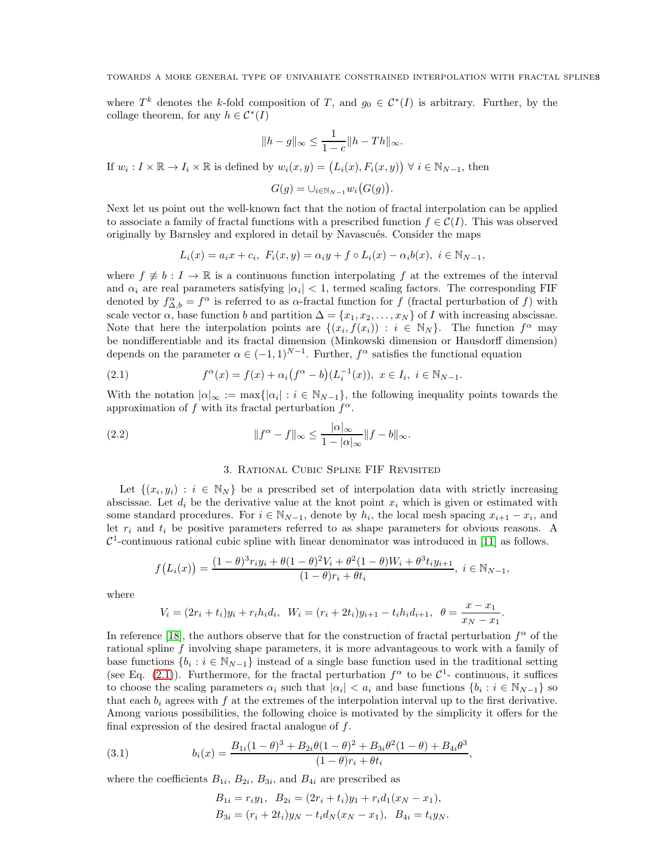where  $T^k$  denotes the k-fold composition of T, and  $g_0 \in C^*(I)$  is arbitrary. Further, by the collage theorem, for any  $h \in C^*(I)$ 

$$
||h - g||_{\infty} \le \frac{1}{1 - c} ||h - Th||_{\infty}.
$$

If  $w_i: I \times \mathbb{R} \to I_i \times \mathbb{R}$  is defined by  $w_i(x, y) = (L_i(x), F_i(x, y)) \forall i \in \mathbb{N}_{N-1}$ , then

$$
G(g) = \cup_{i \in \mathbb{N}_{N-1}} w_i(G(g)).
$$

Next let us point out the well-known fact that the notion of fractal interpolation can be applied to associate a family of fractal functions with a prescribed function  $f \in \mathcal{C}(I)$ . This was observed originally by Barnsley and explored in detail by Navascués. Consider the maps

$$
L_i(x) = a_i x + c_i, \ F_i(x, y) = \alpha_i y + f \circ L_i(x) - \alpha_i b(x), \ i \in \mathbb{N}_{N-1},
$$

where  $f \not\equiv b : I \to \mathbb{R}$  is a continuous function interpolating f at the extremes of the interval and  $\alpha_i$  are real parameters satisfying  $|\alpha_i| < 1$ , termed scaling factors. The corresponding FIF denoted by  $f_{\Delta,b}^{\alpha} = f^{\alpha}$  is referred to as  $\alpha$ -fractal function for f (fractal perturbation of f) with scale vector  $\alpha$ , base function b and partition  $\Delta = \{x_1, x_2, \ldots, x_N\}$  of I with increasing abscissae. Note that here the interpolation points are  $\{(x_i, f(x_i)) : i \in \mathbb{N}_N\}$ . The function  $f^{\alpha}$  may be nondifferentiable and its fractal dimension (Minkowski dimension or Hausdorff dimension) depends on the parameter  $\alpha \in (-1,1)^{N-1}$ . Further,  $f^{\alpha}$  satisfies the functional equation

<span id="page-2-1"></span>(2.1) 
$$
f^{\alpha}(x) = f(x) + \alpha_i (f^{\alpha} - b) (L_i^{-1}(x)), \ x \in I_i, \ i \in \mathbb{N}_{N-1}.
$$

With the notation  $|\alpha|_{\infty} := \max\{|\alpha_i| : i \in \mathbb{N}_{N-1}\},$  the following inequality points towards the approximation of f with its fractal perturbation  $f^{\alpha}$ .

(2.2) 
$$
\|f^{\alpha} - f\|_{\infty} \leq \frac{|\alpha|_{\infty}}{1 - |\alpha|_{\infty}} \|f - b\|_{\infty}.
$$

### <span id="page-2-2"></span>3. Rational Cubic Spline FIF Revisited

<span id="page-2-0"></span>Let  $\{(x_i, y_i) : i \in \mathbb{N}_N\}$  be a prescribed set of interpolation data with strictly increasing abscissae. Let  $d_i$  be the derivative value at the knot point  $x_i$  which is given or estimated with some standard procedures. For  $i \in \mathbb{N}_{N-1}$ , denote by  $h_i$ , the local mesh spacing  $x_{i+1} - x_i$ , and let  $r_i$  and  $t_i$  be positive parameters referred to as shape parameters for obvious reasons. A  $\mathcal{C}^1$ -continuous rational cubic spline with linear denominator was introduced in [\[11\]](#page-10-14) as follows.

$$
f\big(L_i(x)\big) = \frac{(1-\theta)^3 r_i y_i + \theta (1-\theta)^2 V_i + \theta^2 (1-\theta) W_i + \theta^3 t_i y_{i+1}}{(1-\theta) r_i + \theta t_i}, \ i \in \mathbb{N}_{N-1},
$$

where

$$
V_i = (2r_i + t_i)y_i + r_ih_id_i, \ \ W_i = (r_i + 2t_i)y_{i+1} - t_ih_id_{i+1}, \ \ \theta = \frac{x - x_1}{x_N - x_1}.
$$

In reference [\[18\]](#page-10-12), the authors observe that for the construction of fractal perturbation  $f^{\alpha}$  of the rational spline f involving shape parameters, it is more advantageous to work with a family of base functions  $\{b_i : i \in \mathbb{N}_{N-1}\}$  instead of a single base function used in the traditional setting (see Eq. [\(2.1\)](#page-2-1)). Furthermore, for the fractal perturbation  $f^{\alpha}$  to be  $\mathcal{C}^1$ - continuous, it suffices to choose the scaling parameters  $\alpha_i$  such that  $|\alpha_i| < a_i$  and base functions  $\{b_i : i \in \mathbb{N}_{N-1}\}$  so that each  $b_i$  agrees with f at the extremes of the interpolation interval up to the first derivative. Among various possibilities, the following choice is motivated by the simplicity it offers for the final expression of the desired fractal analogue of  $f$ .

(3.1) 
$$
b_i(x) = \frac{B_{1i}(1-\theta)^3 + B_{2i}\theta(1-\theta)^2 + B_{3i}\theta^2(1-\theta) + B_{4i}\theta^3}{(1-\theta)r_i + \theta t_i},
$$

where the coefficients  $B_{1i}$ ,  $B_{2i}$ ,  $B_{3i}$ , and  $B_{4i}$  are prescribed as

$$
B_{1i} = r_i y_1, B_{2i} = (2r_i + t_i)y_1 + r_i d_1(x_N - x_1),
$$
  
\n
$$
B_{3i} = (r_i + 2t_i)y_N - t_i d_N(x_N - x_1), B_{4i} = t_i y_N.
$$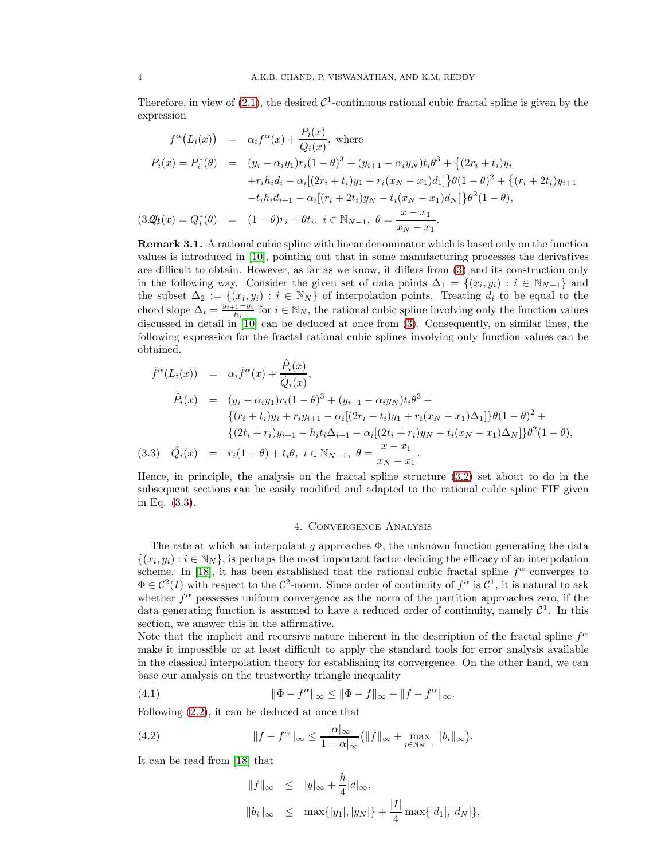Therefore, in view of  $(2.1)$ , the desired  $C^1$ -continuous rational cubic fractal spline is given by the expression

<span id="page-3-1"></span>
$$
f^{\alpha}(L_i(x)) = \alpha_i f^{\alpha}(x) + \frac{P_i(x)}{Q_i(x)}, \text{ where}
$$
  
\n
$$
P_i(x) = P_i^*(\theta) = (y_i - \alpha_i y_1) r_i (1 - \theta)^3 + (y_{i+1} - \alpha_i y_N) t_i \theta^3 + \{(2r_i + t_i)y_i + r_i h_i d_i - \alpha_i [(2r_i + t_i)y_1 + r_i (x_N - x_1) d_1] \} \theta (1 - \theta)^2 + \{(r_i + 2t_i)y_{i+1} - t_i h_i d_{i+1} - \alpha_i [(r_i + 2t_i)y_N - t_i (x_N - x_1) d_N] \} \theta^2 (1 - \theta),
$$
  
\n
$$
(3. \mathcal{Q}_k(x) = Q_i^*(\theta) = (1 - \theta) r_i + \theta t_i, \ i \in \mathbb{N}_{N-1}, \ \theta = \frac{x - x_1}{x_N - x_1}.
$$

Remark 3.1. A rational cubic spline with linear denominator which is based only on the function values is introduced in [\[10\]](#page-10-13), pointing out that in some manufacturing processes the derivatives are difficult to obtain. However, as far as we know, it differs from [\(3\)](#page-2-0) and its construction only in the following way. Consider the given set of data points  $\Delta_1 = \{(x_i, y_i) : i \in \mathbb{N}_{N+1}\}\$ and the subset  $\Delta_2 := \{(x_i, y_i) : i \in \mathbb{N}_N\}$  of interpolation points. Treating  $d_i$  to be equal to the chord slope  $\Delta_i = \frac{y_{i+1}-y_i}{h_i}$  for  $i \in \mathbb{N}_N$ , the rational cubic spline involving only the function values discussed in detail in [\[10\]](#page-10-13) can be deduced at once from  $(3)$ . Consequently, on similar lines, the following expression for the fractal rational cubic splines involving only function values can be obtained.

<span id="page-3-2"></span>
$$
\hat{f}^{\alpha}(L_i(x)) = \alpha_i \hat{f}^{\alpha}(x) + \frac{\hat{P}_i(x)}{\hat{Q}_i(x)},
$$
  
\n
$$
\hat{P}_i(x) = (y_i - \alpha_i y_1) r_i (1 - \theta)^3 + (y_{i+1} - \alpha_i y_N) t_i \theta^3 +
$$
  
\n
$$
\{(r_i + t_i)y_i + r_i y_{i+1} - \alpha_i [(2r_i + t_i)y_1 + r_i (x_N - x_1) \Delta_1] \} \theta (1 - \theta)^2 +
$$
  
\n
$$
\{(2t_i + r_i)y_{i+1} - h_i t_i \Delta_{i+1} - \alpha_i [(2t_i + r_i)y_N - t_i (x_N - x_1) \Delta_N] \} \theta^2 (1 - \theta),
$$
  
\n(3.3)  $\hat{Q}_i(x) = r_i (1 - \theta) + t_i \theta, \ i \in \mathbb{N}_{N-1}, \ \theta = \frac{x - x_1}{x_N - x_1}.$ 

Hence, in principle, the analysis on the fractal spline structure [\(3.2\)](#page-3-1) set about to do in the subsequent sections can be easily modified and adapted to the rational cubic spline FIF given in Eq. [\(3.3\)](#page-3-2).

### 4. Convergence Analysis

<span id="page-3-0"></span>The rate at which an interpolant g approaches  $\Phi$ , the unknown function generating the data  $\{(x_i, y_i) : i \in \mathbb{N}_N\}$ , is perhaps the most important factor deciding the efficacy of an interpolation scheme. In [\[18\]](#page-10-12), it has been established that the rational cubic fractal spline  $f^{\alpha}$  converges to  $\Phi \in C^2(I)$  with respect to the  $C^2$ -norm. Since order of continuity of  $f^{\alpha}$  is  $C^1$ , it is natural to ask whether  $f^{\alpha}$  possesses uniform convergence as the norm of the partition approaches zero, if the data generating function is assumed to have a reduced order of continuity, namely  $\mathcal{C}^1$ . In this section, we answer this in the affirmative.

Note that the implicit and recursive nature inherent in the description of the fractal spline  $f^{\alpha}$ make it impossible or at least difficult to apply the standard tools for error analysis available in the classical interpolation theory for establishing its convergence. On the other hand, we can base our analysis on the trustworthy triangle inequality

(4.1) 
$$
\|\Phi - f^{\alpha}\|_{\infty} \le \|\Phi - f\|_{\infty} + \|f - f^{\alpha}\|_{\infty}.
$$

Following [\(2.2\)](#page-2-2), it can be deduced at once that

(4.2) 
$$
||f - f^{\alpha}||_{\infty} \le \frac{|\alpha|_{\infty}}{1 - \alpha|_{\infty}} (||f||_{\infty} + \max_{i \in \mathbb{N}_{N-1}} ||b_i||_{\infty}).
$$

It can be read from [\[18\]](#page-10-12) that

<span id="page-3-4"></span><span id="page-3-3"></span>
$$
||f||_{\infty} \le |y|_{\infty} + \frac{h}{4}|d|_{\infty},
$$
  

$$
||b_i||_{\infty} \le \max\{|y_1|, |y_N|\} + \frac{|I|}{4} \max\{|d_1|, |d_N|\},
$$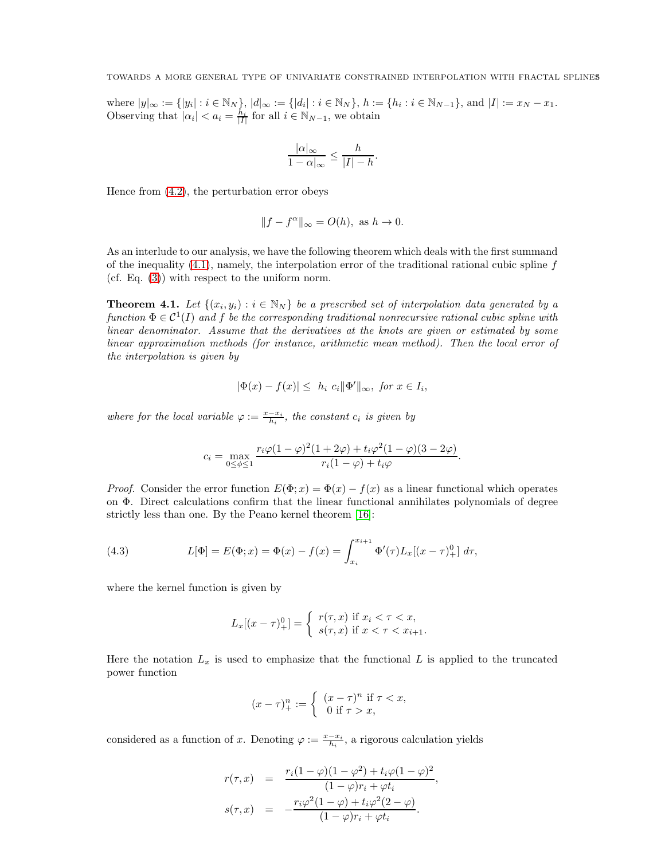TOWARDS A MORE GENERAL TYPE OF UNIVARIATE CONSTRAINED INTERPOLATION WITH FRACTAL SPLINES5

where  $|y|_{\infty} := \{|y_i| : i \in \mathbb{N}_N\}, |d|_{\infty} := \{|d_i| : i \in \mathbb{N}_N\}, h := \{h_i : i \in \mathbb{N}_{N-1}\},\$ and  $|I| := x_N - x_1$ . Observing that  $|\alpha_i| < a_i = \frac{h_i}{|I|}$  for all  $i \in \mathbb{N}_{N-1}$ , we obtain

$$
\frac{|\alpha|_{\infty}}{1-\alpha|_{\infty}} \le \frac{h}{|I|-h}.
$$

Hence from [\(4.2\)](#page-3-3), the perturbation error obeys

$$
||f - f^{\alpha}||_{\infty} = O(h), \text{ as } h \to 0.
$$

As an interlude to our analysis, we have the following theorem which deals with the first summand of the inequality  $(4.1)$ , namely, the interpolation error of the traditional rational cubic spline f (cf. Eq. [\(3\)](#page-2-0)) with respect to the uniform norm.

**Theorem 4.1.** Let  $\{(x_i, y_i) : i \in \mathbb{N}_N\}$  be a prescribed set of interpolation data generated by a function  $\Phi \in \mathcal{C}^1(I)$  and f be the corresponding traditional nonrecursive rational cubic spline with linear denominator. Assume that the derivatives at the knots are given or estimated by some linear approximation methods (for instance, arithmetic mean method). Then the local error of the interpolation is given by

$$
|\Phi(x) - f(x)| \leq h_i \ c_i \|\Phi'\|_{\infty}, \text{ for } x \in I_i,
$$

where for the local variable  $\varphi := \frac{x - x_i}{h_i}$ , the constant  $c_i$  is given by

$$
c_i = \max_{0 \le \phi \le 1} \frac{r_i \varphi (1 - \varphi)^2 (1 + 2\varphi) + t_i \varphi^2 (1 - \varphi)(3 - 2\varphi)}{r_i (1 - \varphi) + t_i \varphi}.
$$

*Proof.* Consider the error function  $E(\Phi; x) = \Phi(x) - f(x)$  as a linear functional which operates on Φ. Direct calculations confirm that the linear functional annihilates polynomials of degree strictly less than one. By the Peano kernel theorem [\[16\]](#page-10-17):

(4.3) 
$$
L[\Phi] = E(\Phi; x) = \Phi(x) - f(x) = \int_{x_i}^{x_{i+1}} \Phi'(\tau) L_x[(x - \tau)_{+}^{0}] d\tau,
$$

where the kernel function is given by

<span id="page-4-0"></span>
$$
L_x[(x-\tau)_+^0] = \begin{cases} r(\tau, x) & \text{if } x_i < \tau < x, \\ s(\tau, x) & \text{if } x < \tau < x_{i+1}. \end{cases}
$$

Here the notation  $L_x$  is used to emphasize that the functional L is applied to the truncated power function

$$
(x - \tau)_+^n := \begin{cases} (x - \tau)^n & \text{if } \tau < x, \\ 0 & \text{if } \tau > x, \end{cases}
$$

considered as a function of x. Denoting  $\varphi := \frac{x - x_i}{h_i}$ , a rigorous calculation yields

$$
r(\tau, x) = \frac{r_i(1 - \varphi)(1 - \varphi^2) + t_i\varphi(1 - \varphi)^2}{(1 - \varphi)r_i + \varphi t_i},
$$
  

$$
s(\tau, x) = -\frac{r_i\varphi^2(1 - \varphi) + t_i\varphi^2(2 - \varphi)}{(1 - \varphi)r_i + \varphi t_i}.
$$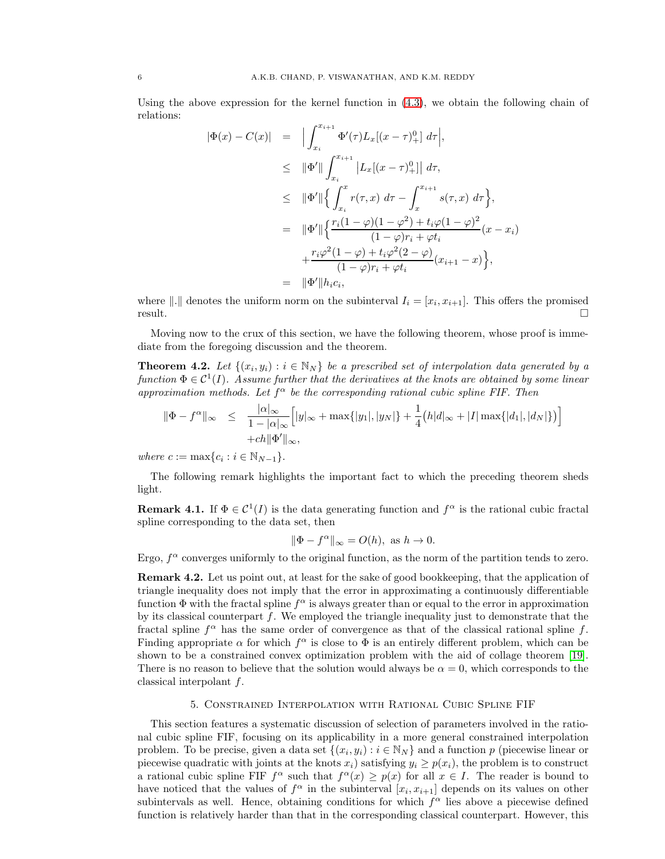Using the above expression for the kernel function in [\(4.3\)](#page-4-0), we obtain the following chain of relations:

$$
\begin{array}{rcl}\n|\Phi(x) - C(x)| & = & \Big| \int_{x_i}^{x_{i+1}} \Phi'(\tau) L_x[(x - \tau)_+^0] \, d\tau \Big|, \\
& \leq & \|\Phi'\| \int_{x_i}^{x_{i+1}} \left| L_x[(x - \tau)_+^0] \right| \, d\tau, \\
& \leq & \|\Phi'\| \Big\{ \int_{x_i}^x r(\tau, x) \, d\tau - \int_x^{x_{i+1}} s(\tau, x) \, d\tau \Big\}, \\
& = & \|\Phi'\| \Big\{ \frac{r_i(1 - \varphi)(1 - \varphi^2) + t_i \varphi(1 - \varphi)^2}{(1 - \varphi)r_i + \varphi t_i}(x - x_i) \Big|, \\
& & \quad + \frac{r_i \varphi^2(1 - \varphi) + t_i \varphi^2(2 - \varphi)}{(1 - \varphi)r_i + \varphi t_i}(x_{i+1} - x) \Big\}, \\
& = & \|\Phi'\| h_i c_i,\n\end{array}
$$

where  $\|.\|$  denotes the uniform norm on the subinterval  $I_i = [x_i, x_{i+1}].$  This offers the promised  $r$ esult.

Moving now to the crux of this section, we have the following theorem, whose proof is immediate from the foregoing discussion and the theorem.

**Theorem 4.2.** Let  $\{(x_i, y_i) : i \in \mathbb{N}_N\}$  be a prescribed set of interpolation data generated by a function  $\Phi \in \mathcal{C}^1(I)$ . Assume further that the derivatives at the knots are obtained by some linear approximation methods. Let  $f^{\alpha}$  be the corresponding rational cubic spline FIF. Then

$$
\|\Phi - f^{\alpha}\|_{\infty} \leq \frac{|\alpha|_{\infty}}{1 - |\alpha|_{\infty}} \Big[|y|_{\infty} + \max\{|y_1|, |y_N|\} + \frac{1}{4} (h|d|_{\infty} + |I| \max\{|d_1|, |d_N|\})\Big] + ch\|\Phi'\|_{\infty},
$$

where  $c := \max\{c_i : i \in \mathbb{N}_{N-1}\}.$ 

The following remark highlights the important fact to which the preceding theorem sheds light.

**Remark 4.1.** If  $\Phi \in C^1(I)$  is the data generating function and  $f^{\alpha}$  is the rational cubic fractal spline corresponding to the data set, then

$$
\|\Phi - f^{\alpha}\|_{\infty} = O(h), \text{ as } h \to 0.
$$

Ergo,  $f^{\alpha}$  converges uniformly to the original function, as the norm of the partition tends to zero.

Remark 4.2. Let us point out, at least for the sake of good bookkeeping, that the application of triangle inequality does not imply that the error in approximating a continuously differentiable function  $\Phi$  with the fractal spline  $f^{\alpha}$  is always greater than or equal to the error in approximation by its classical counterpart  $f$ . We employed the triangle inequality just to demonstrate that the fractal spline  $f^{\alpha}$  has the same order of convergence as that of the classical rational spline f. Finding appropriate  $\alpha$  for which  $f^{\alpha}$  is close to  $\Phi$  is an entirely different problem, which can be shown to be a constrained convex optimization problem with the aid of collage theorem [\[19\]](#page-10-11). There is no reason to believe that the solution would always be  $\alpha = 0$ , which corresponds to the classical interpolant f.

## 5. Constrained Interpolation with Rational Cubic Spline FIF

<span id="page-5-0"></span>This section features a systematic discussion of selection of parameters involved in the rational cubic spline FIF, focusing on its applicability in a more general constrained interpolation problem. To be precise, given a data set  $\{(x_i, y_i) : i \in \mathbb{N}_N\}$  and a function p (piecewise linear or piecewise quadratic with joints at the knots  $x_i$ ) satisfying  $y_i \geq p(x_i)$ , the problem is to construct a rational cubic spline FIF  $f^{\alpha}$  such that  $f^{\alpha}(x) \geq p(x)$  for all  $x \in I$ . The reader is bound to have noticed that the values of  $f^{\alpha}$  in the subinterval  $[x_i, x_{i+1}]$  depends on its values on other subintervals as well. Hence, obtaining conditions for which  $f^{\alpha}$  lies above a piecewise defined function is relatively harder than that in the corresponding classical counterpart. However, this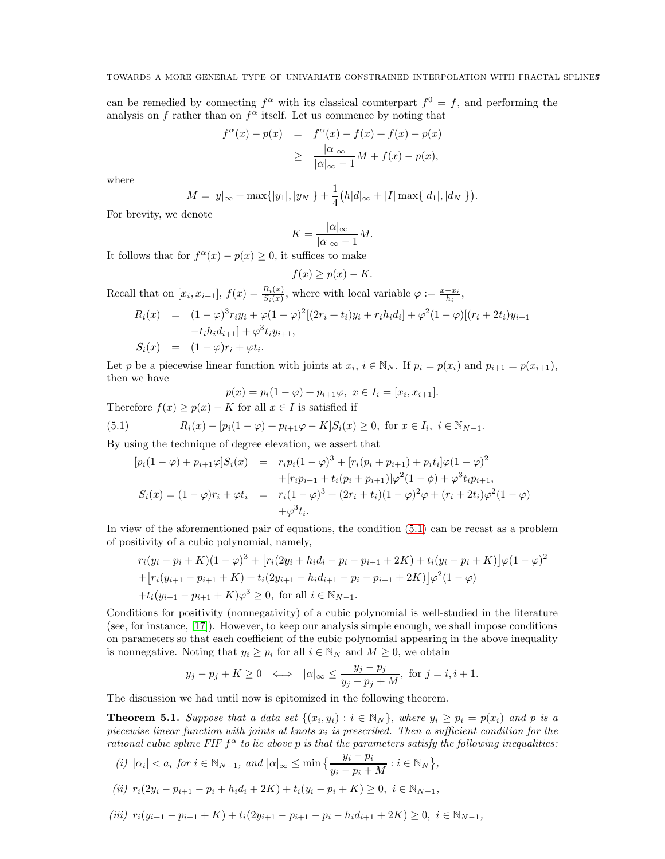can be remedied by connecting  $f^{\alpha}$  with its classical counterpart  $f^0 = f$ , and performing the analysis on f rather than on  $f^{\alpha}$  itself. Let us commence by noting that

$$
f^{\alpha}(x) - p(x) = f^{\alpha}(x) - f(x) + f(x) - p(x)
$$
  
\n
$$
\geq \frac{|\alpha|_{\infty}}{|\alpha|_{\infty} - 1}M + f(x) - p(x),
$$

where

$$
M = |y|_{\infty} + \max\{|y_1|, |y_N|\} + \frac{1}{4} (h|d_{\infty} + |I| \max\{|d_1|, |d_N|\}).
$$

For brevity, we denote

$$
K = \frac{|\alpha|_{\infty}}{|\alpha|_{\infty} - 1} M.
$$

It follows that for  $f^{\alpha}(x) - p(x) \ge 0$ , it suffices to make

$$
f(x) \ge p(x) - K.
$$

Recall that on  $[x_i, x_{i+1}], f(x) = \frac{R_i(x)}{S_i(x)}$ , where with local variable  $\varphi := \frac{x - x_i}{h_i}$ ,

$$
R_i(x) = (1 - \varphi)^3 r_i y_i + \varphi (1 - \varphi)^2 [(2r_i + t_i)y_i + r_i h_i d_i] + \varphi^2 (1 - \varphi) [(r_i + 2t_i)y_{i+1} - t_i h_i d_{i+1}] + \varphi^3 t_i y_{i+1},
$$
  
\n
$$
S_i(x) = (1 - \varphi) r_i + \varphi t_i.
$$

Let p be a piecewise linear function with joints at  $x_i$ ,  $i \in \mathbb{N}_N$ . If  $p_i = p(x_i)$  and  $p_{i+1} = p(x_{i+1})$ , then we have

<span id="page-6-0"></span>
$$
p(x) = p_i(1 - \varphi) + p_{i+1}\varphi, \ x \in I_i = [x_i, x_{i+1}].
$$

Therefore  $f(x) \ge p(x) - K$  for all  $x \in I$  is satisfied if

(5.1) 
$$
R_i(x) - [p_i(1 - \varphi) + p_{i+1}\varphi - K]S_i(x) \ge 0, \text{ for } x \in I_i, i \in \mathbb{N}_{N-1}.
$$

By using the technique of degree elevation, we assert that

$$
[p_i(1 - \varphi) + p_{i+1}\varphi]S_i(x) = r_i p_i(1 - \varphi)^3 + [r_i(p_i + p_{i+1}) + p_i t_i]\varphi(1 - \varphi)^2
$$
  
+ 
$$
[r_i p_{i+1} + t_i(p_i + p_{i+1})]\varphi^2(1 - \phi) + \varphi^3 t_i p_{i+1},
$$
  

$$
S_i(x) = (1 - \varphi)r_i + \varphi t_i = r_i(1 - \varphi)^3 + (2r_i + t_i)(1 - \varphi)^2 \varphi + (r_i + 2t_i)\varphi^2(1 - \varphi)
$$
  
+ 
$$
\varphi^3 t_i.
$$

In view of the aforementioned pair of equations, the condition [\(5.1\)](#page-6-0) can be recast as a problem of positivity of a cubic polynomial, namely,

$$
r_i(y_i - p_i + K)(1 - \varphi)^3 + [r_i(2y_i + h_i d_i - p_i - p_{i+1} + 2K) + t_i(y_i - p_i + K)]\varphi(1 - \varphi)^2
$$
  
+ 
$$
[r_i(y_{i+1} - p_{i+1} + K) + t_i(2y_{i+1} - h_i d_{i+1} - p_i - p_{i+1} + 2K)]\varphi^2(1 - \varphi)
$$
  
+ 
$$
t_i(y_{i+1} - p_{i+1} + K)\varphi^3 \ge 0, \text{ for all } i \in \mathbb{N}_{N-1}.
$$

Conditions for positivity (nonnegativity) of a cubic polynomial is well-studied in the literature (see, for instance, [\[17\]](#page-10-18)). However, to keep our analysis simple enough, we shall impose conditions on parameters so that each coefficient of the cubic polynomial appearing in the above inequality is nonnegative. Noting that  $y_i \geq p_i$  for all  $i \in \mathbb{N}_N$  and  $M \geq 0$ , we obtain

$$
y_j - p_j + K \ge 0 \iff |\alpha|_{\infty} \le \frac{y_j - p_j}{y_j - p_j + M}, \text{ for } j = i, i + 1.
$$

The discussion we had until now is epitomized in the following theorem.

<span id="page-6-1"></span>**Theorem 5.1.** Suppose that a data set  $\{(x_i, y_i) : i \in \mathbb{N}_N\}$ , where  $y_i \ge p_i = p(x_i)$  and p is a piecewise linear function with joints at knots  $x_i$  is prescribed. Then a sufficient condition for the rational cubic spline FIF  $f^{\alpha}$  to lie above p is that the parameters satisfy the following inequalities:

(i)  $|\alpha_i| < a_i$  for  $i \in \mathbb{N}_{N-1}$ , and  $|\alpha|_{\infty} \le \min\left\{\frac{y_i - p_i}{y_i - p_i + M} : i \in \mathbb{N}_N\right\}$ ,

$$
(ii) r_i(2y_i - p_{i+1} - p_i + h_i d_i + 2K) + t_i(y_i - p_i + K) \ge 0, \ i \in \mathbb{N}_{N-1},
$$

$$
(iii) r_i(y_{i+1} - p_{i+1} + K) + t_i(2y_{i+1} - p_{i+1} - p_i - h_i d_{i+1} + 2K) \ge 0, i \in \mathbb{N}_{N-1},
$$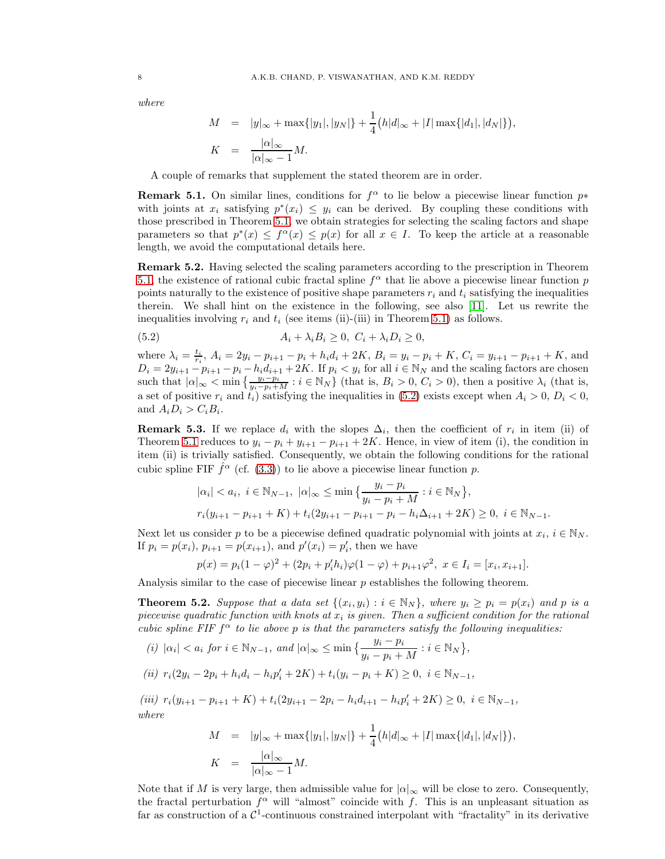where

$$
M = |y|_{\infty} + \max\{|y_1|, |y_N|\} + \frac{1}{4} (h|d_{\infty} + |I| \max\{|d_1|, |d_N|\}),
$$
  

$$
K = \frac{|\alpha|_{\infty}}{|\alpha|_{\infty} - 1} M.
$$

A couple of remarks that supplement the stated theorem are in order.

**Remark 5.1.** On similar lines, conditions for  $f^{\alpha}$  to lie below a piecewise linear function  $p*$ with joints at  $x_i$  satisfying  $p^*(x_i) \leq y_i$  can be derived. By coupling these conditions with those prescribed in Theorem [5.1,](#page-6-1) we obtain strategies for selecting the scaling factors and shape parameters so that  $p^*(x) \leq f^{\alpha}(x) \leq p(x)$  for all  $x \in I$ . To keep the article at a reasonable length, we avoid the computational details here.

<span id="page-7-1"></span>Remark 5.2. Having selected the scaling parameters according to the prescription in Theorem [5.1,](#page-6-1) the existence of rational cubic fractal spline  $f^{\alpha}$  that lie above a piecewise linear function p points naturally to the existence of positive shape parameters  $r_i$  and  $t_i$  satisfying the inequalities therein. We shall hint on the existence in the following, see also [\[11\]](#page-10-14). Let us rewrite the inequalities involving  $r_i$  and  $t_i$  (see items (ii)-(iii) in Theorem [5.1\)](#page-6-1) as follows.

<span id="page-7-0"></span>(5.2) 
$$
A_i + \lambda_i B_i \geq 0, \ C_i + \lambda_i D_i \geq 0,
$$

where  $\lambda_i = \frac{t_i}{r_i}$ ,  $A_i = 2y_i - p_{i+1} - p_i + h_i d_i + 2K$ ,  $B_i = y_i - p_i + K$ ,  $C_i = y_{i+1} - p_{i+1} + K$ , and  $D_i = 2y_{i+1} - p_{i+1} - p_i - h_id_{i+1} + 2K$ . If  $p_i < y_i$  for all  $i \in \mathbb{N}_N$  and the scaling factors are chosen such that  $|\alpha|_{\infty} < \min \left\{ \frac{y_i - p_i}{y_i - p_i + M} : i \in \mathbb{N}_N \right\}$  (that is,  $B_i > 0$ ,  $C_i > 0$ ), then a positive  $\lambda_i$  (that is, a set of positive  $r_i$  and  $t_i$ ) satisfying the inequalities in [\(5.2\)](#page-7-0) exists except when  $A_i > 0$ ,  $D_i < 0$ , and  $A_i D_i > C_i B_i$ .

**Remark 5.3.** If we replace  $d_i$  with the slopes  $\Delta_i$ , then the coefficient of  $r_i$  in item (ii) of Theorem [5.1](#page-6-1) reduces to  $y_i - p_i + y_{i+1} - p_{i+1} + 2K$ . Hence, in view of item (i), the condition in item (ii) is trivially satisfied. Consequently, we obtain the following conditions for the rational cubic spline FIF  $\hat{f}^{\alpha}$  (cf. [\(3.3\)](#page-3-2)) to lie above a piecewise linear function p.

$$
|\alpha_i| < a_i, \ i \in \mathbb{N}_{N-1}, \ |\alpha|_{\infty} \le \min\left\{\frac{y_i - p_i}{y_i - p_i + M} : i \in \mathbb{N}_N\right\},\
$$
\n
$$
r_i(y_{i+1} - p_{i+1} + K) + t_i(2y_{i+1} - p_{i+1} - p_i - h_i\Delta_{i+1} + 2K) \ge 0, \ i \in \mathbb{N}_{N-1}.
$$

Next let us consider p to be a piecewise defined quadratic polynomial with joints at  $x_i, i \in \mathbb{N}_N$ . If  $p_i = p(x_i)$ ,  $p_{i+1} = p(x_{i+1})$ , and  $p'(x_i) = p'_i$ , then we have

$$
p(x) = p_i(1 - \varphi)^2 + (2p_i + p_i'h_i)\varphi(1 - \varphi) + p_{i+1}\varphi^2, \ x \in I_i = [x_i, x_{i+1}].
$$

Analysis similar to the case of piecewise linear  $p$  establishes the following theorem.

<span id="page-7-2"></span>**Theorem 5.2.** Suppose that a data set  $\{(x_i, y_i) : i \in \mathbb{N}_N\}$ , where  $y_i \ge p_i = p(x_i)$  and p is a piecewise quadratic function with knots at  $x_i$  is given. Then a sufficient condition for the rational cubic spline FIF  $f^{\alpha}$  to lie above p is that the parameters satisfy the following inequalities:

(i) 
$$
|\alpha_i| < a_i
$$
 for  $i \in \mathbb{N}_{N-1}$ , and  $|\alpha|_{\infty} \le \min \left\{ \frac{y_i - p_i}{y_i - p_i + M} : i \in \mathbb{N}_N \right\},\$ 

$$
(ii) r_i(2y_i - 2p_i + h_i d_i - h_i p'_i + 2K) + t_i(y_i - p_i + K) \ge 0, \ i \in \mathbb{N}_{N-1},
$$

(iii)  $r_i(y_{i+1} - p_{i+1} + K) + t_i(2y_{i+1} - 2p_i - h_i d_{i+1} - h_i p'_i + 2K) \ge 0, i \in \mathbb{N}_{N-1},$ where

$$
M = |y|_{\infty} + \max\{|y_1|, |y_N|\} + \frac{1}{4} (h|d|_{\infty} + |I| \max\{|d_1|, |d_N|\}),
$$
  

$$
K = \frac{|\alpha|_{\infty}}{|\alpha|_{\infty} - 1} M.
$$

Note that if M is very large, then admissible value for  $|\alpha|_{\infty}$  will be close to zero. Consequently, the fractal perturbation  $f^{\alpha}$  will "almost" coincide with f. This is an unpleasant situation as far as construction of a  $\mathcal{C}^1$ -continuous constrained interpolant with "fractality" in its derivative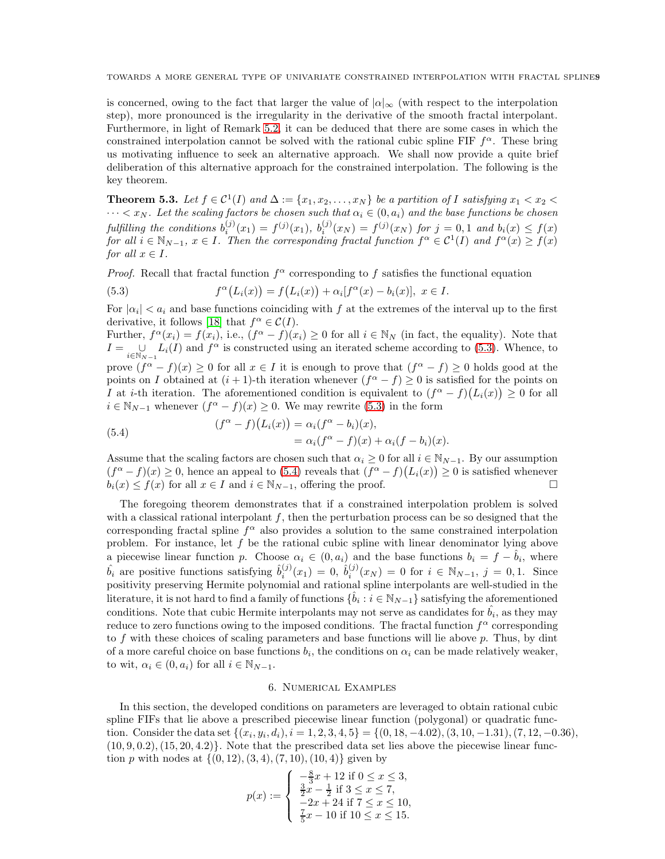is concerned, owing to the fact that larger the value of  $|\alpha|_{\infty}$  (with respect to the interpolation step), more pronounced is the irregularity in the derivative of the smooth fractal interpolant. Furthermore, in light of Remark [5.2,](#page-7-1) it can be deduced that there are some cases in which the constrained interpolation cannot be solved with the rational cubic spline FIF  $f^{\alpha}$ . These bring us motivating influence to seek an alternative approach. We shall now provide a quite brief deliberation of this alternative approach for the constrained interpolation. The following is the key theorem.

**Theorem 5.3.** Let  $f \in C^1(I)$  and  $\Delta := \{x_1, x_2, \ldots, x_N\}$  be a partition of I satisfying  $x_1 < x_2 <$  $\cdots < x_N$ . Let the scaling factors be chosen such that  $\alpha_i \in (0, a_i)$  and the base functions be chosen fulfilling the conditions  $b_i^{(j)}(x_1) = f^{(j)}(x_1)$ ,  $b_i^{(j)}(x_N) = f^{(j)}(x_N)$  for  $j = 0, 1$  and  $b_i(x) \le f(x)$ for all  $i \in \mathbb{N}_{N-1}$ ,  $x \in I$ . Then the corresponding fractal function  $f^{\alpha} \in C^1(I)$  and  $f^{\alpha}(x) \ge f(x)$ for all  $x \in I$ .

*Proof.* Recall that fractal function  $f^{\alpha}$  corresponding to f satisfies the functional equation

<span id="page-8-1"></span>(5.3) 
$$
f^{\alpha}(L_i(x)) = f(L_i(x)) + \alpha_i[f^{\alpha}(x) - b_i(x)], \ x \in I.
$$

For  $|\alpha_i| < a_i$  and base functions coinciding with f at the extremes of the interval up to the first derivative, it follows [\[18\]](#page-10-12) that  $f^{\alpha} \in C(I)$ .

Further,  $f^{\alpha}(x_i) = f(x_i)$ , i.e.,  $(f^{\alpha} - f)(x_i) \ge 0$  for all  $i \in \mathbb{N}_N$  (in fact, the equality). Note that  $I = \bigcup_{i \in \mathbb{N}_{N-1}} L_i(I)$  and  $f^{\alpha}$  is constructed using an iterated scheme according to [\(5.3\)](#page-8-1). Whence, to prove  $(f^{\alpha}-f)(x) \ge 0$  for all  $x \in I$  it is enough to prove that  $(f^{\alpha}-f) \ge 0$  holds good at the points on I obtained at  $(i + 1)$ -th iteration whenever  $(f^{\alpha} - f) \geq 0$  is satisfied for the points on I at i-th iteration. The aforementioned condition is equivalent to  $(f^{\alpha} - f)(L_i(x)) \geq 0$  for all  $i \in \mathbb{N}_{N-1}$  whenever  $(f^{\alpha} - f)(x) \geq 0$ . We may rewrite [\(5.3\)](#page-8-1) in the form

<span id="page-8-2"></span>(5.4) 
$$
(f^{\alpha}-f)(L_i(x)) = \alpha_i(f^{\alpha}-b_i)(x),
$$

$$
= \alpha_i(f^{\alpha}-f)(x) + \alpha_i(f-b_i)(x).
$$

Assume that the scaling factors are chosen such that  $\alpha_i \geq 0$  for all  $i \in \mathbb{N}_{N-1}$ . By our assumption  $(f^{\alpha}-f)(x) \geq 0$ , hence an appeal to [\(5.4\)](#page-8-2) reveals that  $(f^{\alpha}-f)(L_i(x)) \geq 0$  is satisfied whenever  $b_i(x) \le f(x)$  for all  $x \in I$  and  $i \in \mathbb{N}_{N-1}$ , offering the proof.

The foregoing theorem demonstrates that if a constrained interpolation problem is solved with a classical rational interpolant  $f$ , then the perturbation process can be so designed that the corresponding fractal spline  $f^{\alpha}$  also provides a solution to the same constrained interpolation problem. For instance, let f be the rational cubic spline with linear denominator lying above a piecewise linear function p. Choose  $\alpha_i \in (0, a_i)$  and the base functions  $b_i = f - \hat{b}_i$ , where  $\hat{b}_i$  are positive functions satisfying  $\hat{b}_i^{(j)}(x_1) = 0$ ,  $\hat{b}_i^{(j)}(x_N) = 0$  for  $i \in \mathbb{N}_{N-1}$ ,  $j = 0, 1$ . Since positivity preserving Hermite polynomial and rational spline interpolants are well-studied in the literature, it is not hard to find a family of functions  $\{\hat{b}_i : i \in \mathbb{N}_{N-1}\}$  satisfying the aforementioned conditions. Note that cubic Hermite interpolants may not serve as candidates for  $\hat{b_i}$ , as they may reduce to zero functions owing to the imposed conditions. The fractal function  $f^{\alpha}$  corresponding to f with these choices of scaling parameters and base functions will lie above  $p$ . Thus, by dint of a more careful choice on base functions  $b_i$ , the conditions on  $\alpha_i$  can be made relatively weaker, to wit,  $\alpha_i \in (0, a_i)$  for all  $i \in \mathbb{N}_{N-1}$ .

### 6. Numerical Examples

<span id="page-8-0"></span>In this section, the developed conditions on parameters are leveraged to obtain rational cubic spline FIFs that lie above a prescribed piecewise linear function (polygonal) or quadratic function. Consider the data set  $\{(x_i, y_i, d_i), i = 1, 2, 3, 4, 5\} = \{(0, 18, -4.02), (3, 10, -1.31), (7, 12, -0.36),$  $(10, 9, 0.2), (15, 20, 4.2)$ . Note that the prescribed data set lies above the piecewise linear function p with nodes at  $\{(0, 12), (3, 4), (7, 10), (10, 4)\}\$  given by

$$
p(x) := \begin{cases} \n-\frac{8}{3}x + 12 & \text{if } 0 \le x \le 3, \\
\frac{3}{2}x - \frac{1}{2} & \text{if } 3 \le x \le 7, \\
-2x + 24 & \text{if } 7 \le x \le 10, \\
\frac{7}{5}x - 10 & \text{if } 10 \le x \le 15.\n\end{cases}
$$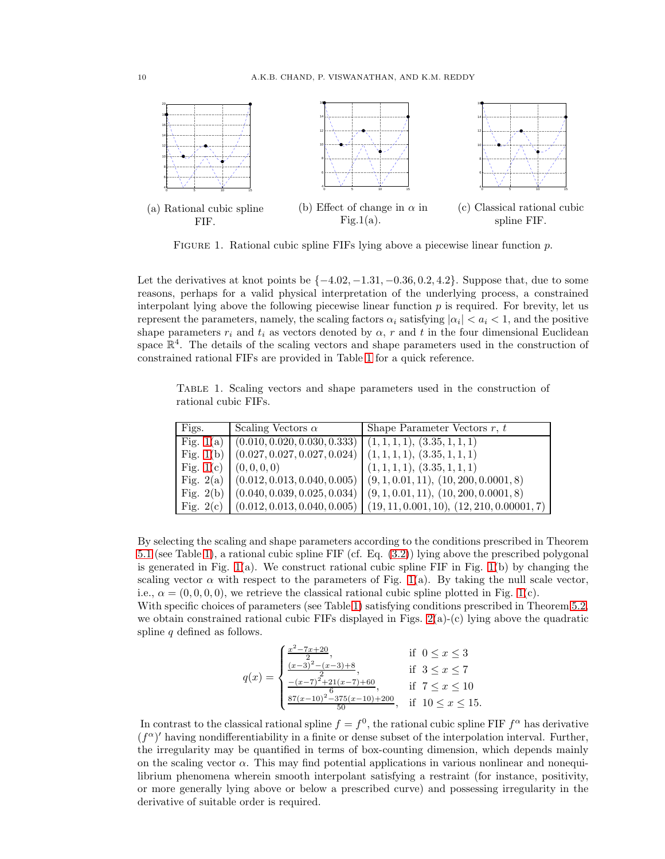<span id="page-9-1"></span>

FIGURE 1. Rational cubic spline FIFs lying above a piecewise linear function p.

Let the derivatives at knot points be  $\{-4.02, -1.31, -0.36, 0.2, 4.2\}$ . Suppose that, due to some reasons, perhaps for a valid physical interpretation of the underlying process, a constrained interpolant lying above the following piecewise linear function  $p$  is required. For brevity, let us represent the parameters, namely, the scaling factors  $\alpha_i$  satisfying  $|\alpha_i| < a_i < 1$ , and the positive shape parameters  $r_i$  and  $t_i$  as vectors denoted by  $\alpha$ , r and t in the four dimensional Euclidean space  $\mathbb{R}^4$ . The details of the scaling vectors and shape parameters used in the construction of constrained rational FIFs are provided in Table [1](#page-9-0) for a quick reference.

<span id="page-9-0"></span>Table 1. Scaling vectors and shape parameters used in the construction of rational cubic FIFs.

| Figs.       | Scaling Vectors $\alpha$                                                 | Shape Parameter Vectors $r, t$                                                        |
|-------------|--------------------------------------------------------------------------|---------------------------------------------------------------------------------------|
|             | Fig. 1(a) $(0.010, 0.020, 0.030, 0.333)$ $(1, 1, 1, 1), (3.35, 1, 1, 1)$ |                                                                                       |
|             | Fig. 1(b) $(0.027, 0.027, 0.027, 0.024) (1, 1, 1, 1), (3.35, 1, 1, 1)$   |                                                                                       |
|             | Fig. 1(c) $(0, 0, 0, 0)$                                                 | (1, 1, 1, 1), (3.35, 1, 1, 1)                                                         |
|             |                                                                          | Fig. 2(a) $(0.012, 0.013, 0.040, 0.005) (9, 1, 0.01, 11), (10, 200, 0.0001, 8)$       |
|             |                                                                          | Fig. 2(b) $(0.040, 0.039, 0.025, 0.034)$ $(9, 1, 0.01, 11), (10, 200, 0.0001, 8)$     |
| Fig. $2(c)$ |                                                                          | $\mid$ (0.012, 0.013, 0.040, 0.005) $\mid$ (19, 11, 0.001, 10), (12, 210, 0.00001, 7) |

By selecting the scaling and shape parameters according to the conditions prescribed in Theorem [5.1](#page-6-1) (see Table [1\)](#page-9-0), a rational cubic spline FIF (cf. Eq. [\(3.2\)](#page-3-1)) lying above the prescribed polygonal is generated in Fig.  $1(a)$ . We construct rational cubic spline FIF in Fig.  $1(b)$  by changing the scaling vector  $\alpha$  with respect to the parameters of Fig. [1\(](#page-9-1)a). By taking the null scale vector, i.e.,  $\alpha = (0, 0, 0, 0)$ , we retrieve the classical rational cubic spline plotted in Fig. [1\(](#page-9-1)c).

With specific choices of parameters (see Table [1\)](#page-9-0) satisfying conditions prescribed in Theorem [5.2,](#page-7-2) we obtain constrained rational cubic FIFs displayed in Figs.  $2(a)-(c)$  lying above the quadratic spline  $q$  defined as follows.

$$
q(x) = \begin{cases} \frac{x^2 - 7x + 20}{2}, & \text{if } 0 \le x \le 3\\ \frac{(x - 3)^2 - (x - 3) + 8}{2}, & \text{if } 3 \le x \le 7\\ \frac{-(x - 7)^2 + 21(x - 7) + 60}{6}, & \text{if } 7 \le x \le 10\\ \frac{87(x - 10)^2 - 375(x - 10) + 200}{50}, & \text{if } 10 \le x \le 15. \end{cases}
$$

In contrast to the classical rational spline  $f = f^0$ , the rational cubic spline FIF  $f^{\alpha}$  has derivative  $(f^{\alpha})'$  having nondifferentiability in a finite or dense subset of the interpolation interval. Further, the irregularity may be quantified in terms of box-counting dimension, which depends mainly on the scaling vector  $\alpha$ . This may find potential applications in various nonlinear and nonequilibrium phenomena wherein smooth interpolant satisfying a restraint (for instance, positivity, or more generally lying above or below a prescribed curve) and possessing irregularity in the derivative of suitable order is required.